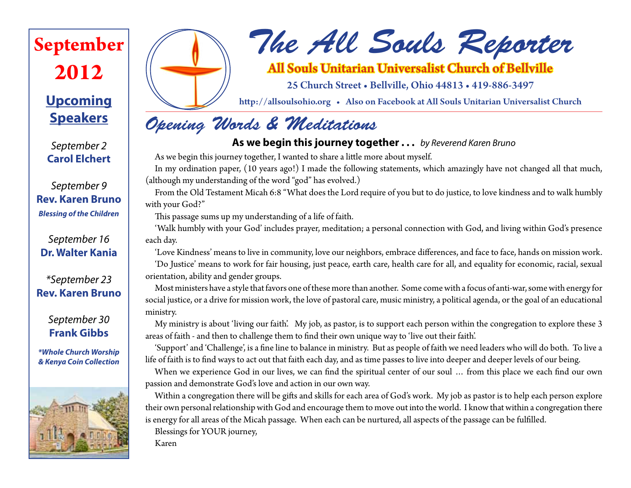# **September 2012**

### **Upcoming Speakers**

*September 2* **Carol Elchert**

*September 9* **Rev. Karen Bruno** *Blessing of the Children*

*September 16* **Dr. Walter Kania**

*\*September 23* **Rev. Karen Bruno**

> *September 30* **Frank Gibbs**

*\*Whole Church Worship & Kenya Coin Collection*





# *The All Souls Reporter*

### All Souls Unitarian Universalist Church of Bellville

25 Church Street • Bellville, Ohio 44813 • 419-886-3497

http://allsoulsohio.org • Also on Facebook at All Souls Unitarian Universalist Church

### *Opening Words & Meditations*

#### **As we begin this journey together . . .** *by Reverend Karen Bruno*

As we begin this journey together, I wanted to share a little more about myself.

In my ordination paper, (10 years ago!) I made the following statements, which amazingly have not changed all that much, (although my understanding of the word "god" has evolved.)

From the Old Testament Micah 6:8 "What does the Lord require of you but to do justice, to love kindness and to walk humbly with your God?"

This passage sums up my understanding of a life of faith.

'Walk humbly with your God' includes prayer, meditation; a personal connection with God, and living within God's presence each day.

'Love Kindness' means to live in community, love our neighbors, embrace differences, and face to face, hands on mission work. 'Do Justice' means to work for fair housing, just peace, earth care, health care for all, and equality for economic, racial, sexual orientation, ability and gender groups.

Most ministers have a style that favors one of these more than another. Some come with a focus of anti-war, some with energy for social justice, or a drive for mission work, the love of pastoral care, music ministry, a political agenda, or the goal of an educational ministry.

My ministry is about 'living our faith'. My job, as pastor, is to support each person within the congregation to explore these 3 areas of faith - and then to challenge them to find their own unique way to 'live out their faith'.

'Support' and 'Challenge', is a fine line to balance in ministry. But as people of faith we need leaders who will do both. To live a life of faith is to find ways to act out that faith each day, and as time passes to live into deeper and deeper levels of our being.

When we experience God in our lives, we can find the spiritual center of our soul ... from this place we each find our own passion and demonstrate God's love and action in our own way.

Within a congregation there will be gifts and skills for each area of God's work. My job as pastor is to help each person explore their own personal relationship with God and encourage them to move out into the world. I know that within a congregation there is energy for all areas of the Micah passage. When each can be nurtured, all aspects of the passage can be fulfilled. Blessings for YOUR journey,

Karen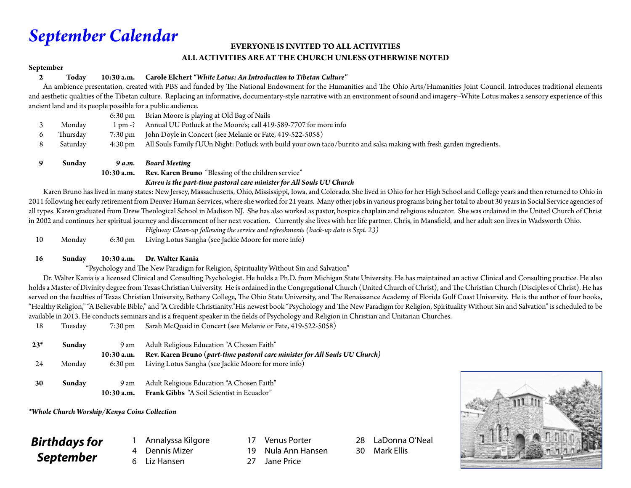### *September Calendar*

#### **EVERYONE IS INVITED TO ALL ACTIVITIES ALL ACTIVITIES ARE AT THE CHURCH UNLESS OTHERWISE NOTED**

#### **September**

#### **2 Today 10:30 a.m. Carole Elchert** *"White Lotus: An Introduction to Tibetan Culture"*

An ambience presentation, created with PBS and funded by The National Endowment for the Humanities and The Ohio Arts/Humanities Joint Council. Introduces traditional elements and aesthetic qualities of the Tibetan culture. Replacing an informative, documentary-style narrative with an environment of sound and imagery--White Lotus makes a sensory experience of this ancient land and its people possible for a public audience.

| Sunday   | 9 a.m.               | <b>Board Meeting</b>                                                                                                  |
|----------|----------------------|-----------------------------------------------------------------------------------------------------------------------|
| Saturday | $4:30 \,\mathrm{pm}$ | All Souls Family fUUn Night: Potluck with build your own taco/burrito and salsa making with fresh garden ingredients. |
| Thursday | $7:30 \,\mathrm{pm}$ | John Doyle in Concert (see Melanie or Fate, 419-522-5058)                                                             |
| Monday   | $1 \text{ pm} - ?$   | Annual UU Potluck at the Moore's; call 419-589-7707 for more info                                                     |
|          | $6:30 \text{ pm}$    | Brian Moore is playing at Old Bag of Nails                                                                            |
|          |                      |                                                                                                                       |

 **10:30 a.m. Rev. Karen Bruno** "Blessing of the children service"

*Karen is the part-time pastoral care minister for All Souls UU Church*

Karen Bruno has lived in many states: New Jersey, Massachusetts, Ohio, Mississippi, Iowa, and Colorado. She lived in Ohio for her High School and College years and then returned to Ohio in 2011 following her early retirement from Denver Human Services, where she worked for 21 years. Many other jobs in various programs bring her total to about 30 years in Social Service agencies of all types. Karen graduated from Drew Theological School in Madison NJ. She has also worked as pastor, hospice chaplain and religious educator. She was ordained in the United Church of Christ in 2002 and continues her spiritual journey and discernment of her next vocation. Currently she lives with her life partner, Chris, in Mansfield, and her adult son lives in Wadsworth Ohio.

*Highway Clean-up following the service and refreshments (back-up date is Sept. 23)*

10 Monday 6:30 pm Living Lotus Sangha (see Jackie Moore for more info)

#### **16 Sunday 10:30 a.m. Dr. Walter Kania**

"Psychology and The New Paradigm for Religion, Spirituality Without Sin and Salvation"

 Dr. Walter Kania is a licensed Clinical and Consulting Psychologist. He holds a Ph.D. from Michigan State University. He has maintained an active Clinical and Consulting practice. He also holds a Master of Divinity degree from Texas Christian University. He is ordained in the Congregational Church (United Church of Christ), and The Christian Church (Disciples of Christ). He has served on the faculties of Texas Christian University, Bethany College, The Ohio State University, and The Renaissance Academy of Florida Gulf Coast University. He is the author of four books, "Healthy Religion," "A Believable Bible," and "A Credible Christianity."His newest book "Psychology and The New Paradigm for Religion, Spirituality Without Sin and Salvation" is scheduled to be available in 2013. He conducts seminars and is a frequent speaker in the fields of Psychology and Religion in Christian and Unitarian Churches.

18 Tuesday 7:30 pm Sarah McQuaid in Concert (see Melanie or Fate, 419-522-5058)

| $23*$ | Sunday | 9 am                 | Adult Religious Education "A Chosen Faith"                                  |
|-------|--------|----------------------|-----------------------------------------------------------------------------|
|       |        | $10:30$ a.m.         | Rev. Karen Bruno (part-time pastoral care minister for All Souls UU Church) |
| 24    | Monday | $6:30 \,\mathrm{pm}$ | Living Lotus Sangha (see Jackie Moore for more info)                        |
|       |        |                      |                                                                             |
| 30    | Sunday | 9 am                 | Adult Religious Education "A Chosen Faith"                                  |
|       |        | $10:30$ a.m.         | <b>Frank Gibbs</b> "A Soil Scientist in Ecuador"                            |

*\*Whole Church Worship/Kenya Coins Collection*

#### *Birthdays for September*

1 Annalyssa Kilgore Dennis Mizer 6 Liz Hansen

**Venus Porter** 19 Nula Ann Hansen 27 Jane Price

28 LaDonna O'Neal 30 Mark Ellis

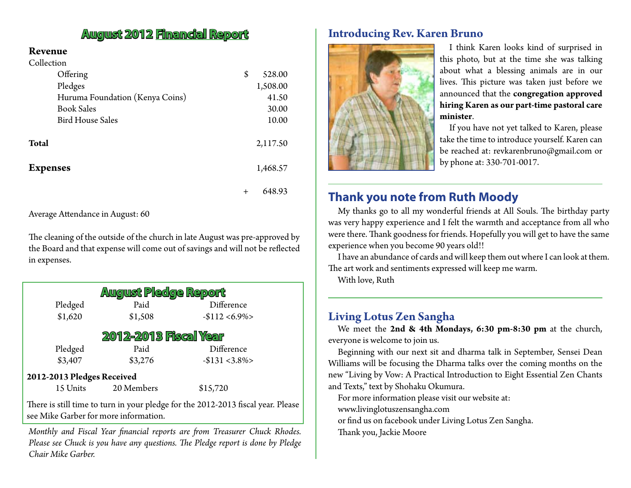#### **August 2012 Financial Report Introducing Rev. Karen Bruno**

#### **Revenue**

| Collection                      |              |
|---------------------------------|--------------|
| Offering                        | \$<br>528.00 |
| Pledges                         | 1,508.00     |
| Huruma Foundation (Kenya Coins) | 41.50        |
| <b>Book Sales</b>               | 30.00        |
| <b>Bird House Sales</b>         | 10.00        |
| <b>Total</b>                    | 2,117.50     |
| <b>Expenses</b>                 | 1,468.57     |
|                                 | 648.93       |

Average Attendance in August: 60

The cleaning of the outside of the church in late August was pre-approved by the Board and that expense will come out of savings and will not be reflected in expenses.

| August Pledge Report                                                             |            |                 |  |  |  |  |  |
|----------------------------------------------------------------------------------|------------|-----------------|--|--|--|--|--|
| Pledged                                                                          | Paid       | Difference      |  |  |  |  |  |
| \$1,620                                                                          | \$1,508    | $-$112 < 6.9\%$ |  |  |  |  |  |
| 2012-2013 Fiscal Year                                                            |            |                 |  |  |  |  |  |
| Pledged                                                                          | Paid       | Difference      |  |  |  |  |  |
| \$3,407                                                                          | \$3,276    | $-$131 < 3.8\%$ |  |  |  |  |  |
| 2012-2013 Pledges Received                                                       |            |                 |  |  |  |  |  |
| 15 Units                                                                         | 20 Members | \$15,720        |  |  |  |  |  |
| There is still time to turn in your pledge for the 2012-2013 fiscal year. Please |            |                 |  |  |  |  |  |

see Mike Garber for more information.

*Monthly and Fiscal Year financial reports are from Treasurer Chuck Rhodes. Please see Chuck is you have any questions. The Pledge report is done by Pledge Chair Mike Garber.*



I think Karen looks kind of surprised in this photo, but at the time she was talking about what a blessing animals are in our lives. This picture was taken just before we announced that the **congregation approved hiring Karen as our part-time pastoral care minister**.

If you have not yet talked to Karen, please take the time to introduce yourself. Karen can be reached at: revkarenbruno@gmail.com or by phone at: 330-701-0017.

#### **Thank you note from Ruth Moody**

My thanks go to all my wonderful friends at All Souls. The birthday party was very happy experience and I felt the warmth and acceptance from all who were there. Thank goodness for friends. Hopefully you will get to have the same experience when you become 90 years old!!

I have an abundance of cards and will keep them out where I can look at them. The art work and sentiments expressed will keep me warm.

With love, Ruth

#### **Living Lotus Zen Sangha**

We meet the **2nd & 4th Mondays, 6:30 pm-8:30 pm** at the church, everyone is welcome to join us.

Beginning with our next sit and dharma talk in September, Sensei Dean Williams will be focusing the Dharma talks over the coming months on the new "Living by Vow: A Practical Introduction to Eight Essential Zen Chants and Texts," text by Shohaku Okumura.

For more information please visit our website at:

www.livinglotuszensangha.com

or find us on facebook under Living Lotus Zen Sangha.

Thank you, Jackie Moore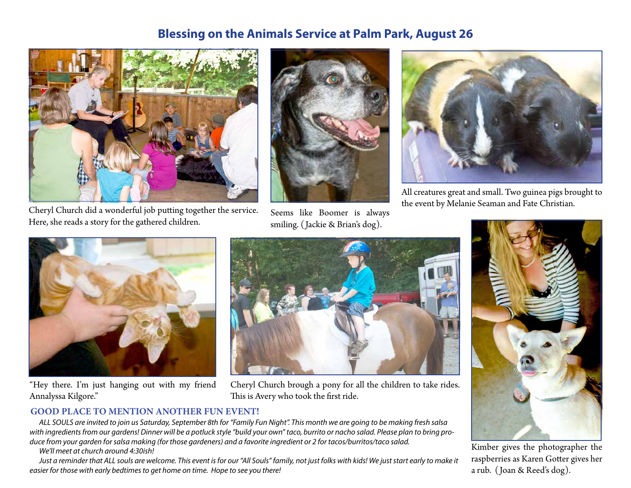#### **Blessing on the Animals Service at Palm Park, August 26**



Cheryl Church did a wonderful job putting together the service. Here, she reads a story for the gathered children.



Seems like Boomer is always smiling. ( Jackie & Brian's dog).



All creatures great and small. Two guinea pigs brought to the event by Melanie Seaman and Fate Christian.



"Hey there. I'm just hanging out with my friend Annalyssa Kilgore."



Cheryl Church brough a pony for all the children to take rides. This is Avery who took the first ride.

#### **GOOD PLACE TO MENTION ANOTHER FUN EVENT!**

*ALL SOULS are invited to join us Saturday, September 8th for "Family Fun Night". This month we are going to be making fresh salsa with ingredients from our gardens! Dinner will be a potluck style "build your own" taco, burrito or nacho salad. Please plan to bring produce from your garden for salsa making (for those gardeners) and a favorite ingredient or 2 for tacos/burritos/taco salad.* 

*We'll meet at church around 4:30ish!*

*Just a reminder that ALL souls are welcome. This event is for our "All Souls" family, not just folks with kids! We just start early to make it easier for those with early bedtimes to get home on time. Hope to see you there!*



Kimber gives the photographer the raspberries as Karen Gotter gives her a rub. ( Joan & Reed's dog).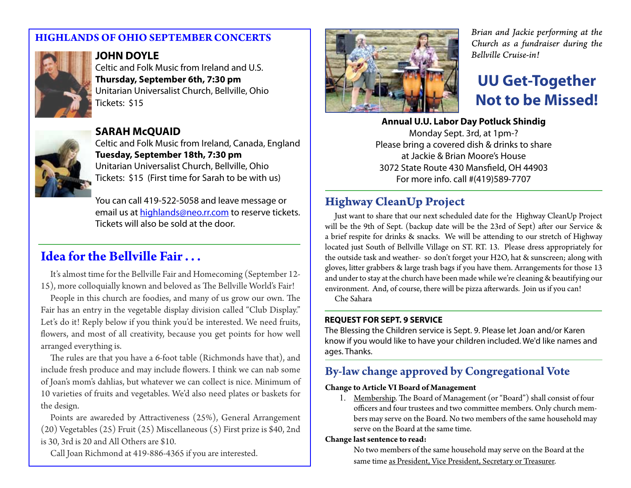#### **HIGHLANDS OF OHIO SEPTEMBER CONCERTS**



#### **JOHN DOYLE**

Celtic and Folk Music from Ireland and U.S. **Thursday, September 6th, 7:30 pm** Unitarian Universalist Church, Bellville, Ohio Tickets: \$15



**SARAH McQUAID** Celtic and Folk Music from Ireland, Canada, England **Tuesday, September 18th, 7:30 pm** Unitarian Universalist Church, Bellville, Ohio Tickets: \$15 (First time for Sarah to be with us)

You can call 419-522-5058 and leave message or email us at highlands@neo.rr.com to reserve tickets. Tickets will also be sold at the door.

### **Idea for the Bellville Fair . . .**

It's almost time for the Bellville Fair and Homecoming (September 12- 15), more colloquially known and beloved as The Bellville World's Fair!

People in this church are foodies, and many of us grow our own. The Fair has an entry in the vegetable display division called "Club Display." Let's do it! Reply below if you think you'd be interested. We need fruits, flowers, and most of all creativity, because you get points for how well arranged everything is.

The rules are that you have a 6-foot table (Richmonds have that), and include fresh produce and may include flowers. I think we can nab some of Joan's mom's dahlias, but whatever we can collect is nice. Minimum of 10 varieties of fruits and vegetables. We'd also need plates or baskets for the design.

Points are awareded by Attractiveness (25%), General Arrangement (20) Vegetables (25) Fruit (25) Miscellaneous (5) First prize is \$40, 2nd is 30, 3rd is 20 and All Others are \$10.

Call Joan Richmond at 419-886-4365 if you are interested.



*Brian and Jackie performing at the Church as a fundraiser during the Bellville Cruise-in!*

### **UU Get-Together Not to be Missed!**

**Annual U.U. Labor Day Potluck Shindig** Monday Sept. 3rd, at 1pm-? Please bring a covered dish & drinks to share at Jackie & Brian Moore's House 3072 State Route 430 Mansfield, OH 44903 For more info. call #(419)589-7707

#### **Highway CleanUp Project**

Just want to share that our next scheduled date for the Highway CleanUp Project will be the 9th of Sept. (backup date will be the 23rd of Sept) after our Service & a brief respite for drinks & snacks. We will be attending to our stretch of Highway located just South of Bellville Village on ST. RT. 13. Please dress appropriately for the outside task and weather- so don't forget your H2O, hat & sunscreen; along with gloves, litter grabbers & large trash bags if you have them. Arrangements for those 13 and under to stay at the church have been made while we're cleaning & beautifying our environment. And, of course, there will be pizza afterwards. Join us if you can!

Che Sahara

#### **REQUEST FOR SEPT. 9 SERVICE**

The Blessing the Children service is Sept. 9. Please let Joan and/or Karen know if you would like to have your children included. We'd like names and ages. Thanks.

#### **By-law change approved by Congregational Vote**

#### **Change to Article VI Board of Management**

1. Membership. The Board of Management (or "Board") shall consist of four officers and four trustees and two committee members. Only church members may serve on the Board. No two members of the same household may serve on the Board at the same time.

#### **Change last sentence to read:**

No two members of the same household may serve on the Board at the same time as President, Vice President, Secretary or Treasurer.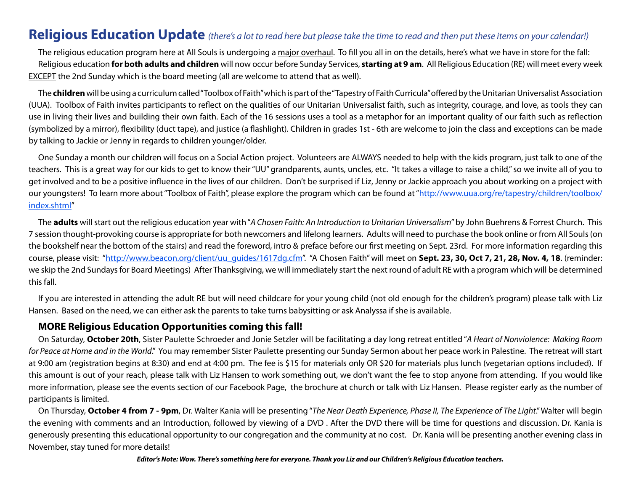#### **Religious Education Update** *(there's a lot to read here but please take the time to read and then put these items on your calendar!)*

The religious education program here at All Souls is undergoing a major overhaul. To fill you all in on the details, here's what we have in store for the fall: Religious education **for both adults and children** will now occur before Sunday Services, **starting at 9 am**. All Religious Education (RE) will meet every week EXCEPT the 2nd Sunday which is the board meeting (all are welcome to attend that as well).

The **children** will be using a curriculum called "Toolbox of Faith" which is part of the "Tapestry of Faith Curricula" offered by the Unitarian Universalist Association (UUA). Toolbox of Faith invites participants to reflect on the qualities of our Unitarian Universalist faith, such as integrity, courage, and love, as tools they can use in living their lives and building their own faith. Each of the 16 sessions uses a tool as a metaphor for an important quality of our faith such as reflection (symbolized by a mirror), flexibility (duct tape), and justice (a flashlight). Children in grades 1st - 6th are welcome to join the class and exceptions can be made by talking to Jackie or Jenny in regards to children younger/older.

One Sunday a month our children will focus on a Social Action project. Volunteers are ALWAYS needed to help with the kids program, just talk to one of the teachers. This is a great way for our kids to get to know their "UU" grandparents, aunts, uncles, etc. "It takes a village to raise a child," so we invite all of you to get involved and to be a positive influence in the lives of our children. Don't be surprised if Liz, Jenny or Jackie approach you about working on a project with our youngsters! To learn more about "Toolbox of Faith", please explore the program which can be found at "http://www.uua.org/re/tapestry/children/toolbox/ index.shtml"

The **adults** will start out the religious education year with "*A Chosen Faith: An Introduction to Unitarian Universalism*" by John Buehrens & Forrest Church. This 7 session thought-provoking course is appropriate for both newcomers and lifelong learners. Adults will need to purchase the book online or from All Souls (on the bookshelf near the bottom of the stairs) and read the foreword, intro & preface before our first meeting on Sept. 23rd. For more information regarding this course, please visit: "http://www.beacon.org/client/uu\_guides/1617dg.cfm". "A Chosen Faith" will meet on Sept. 23, 30, Oct 7, 21, 28, Nov. 4, 18. (reminder: we skip the 2nd Sundays for Board Meetings) After Thanksgiving, we will immediately start the next round of adult RE with a program which will be determined this fall.

If you are interested in attending the adult RE but will need childcare for your young child (not old enough for the children's program) please talk with Liz Hansen. Based on the need, we can either ask the parents to take turns babysitting or ask Analyssa if she is available.

#### **MORE Religious Education Opportunities coming this fall!**

On Saturday, **October 20th**, Sister Paulette Schroeder and Jonie Setzler will be facilitating a day long retreat entitled "*A Heart of Nonviolence: Making Room for Peace at Home and in the World*." You may remember Sister Paulette presenting our Sunday Sermon about her peace work in Palestine. The retreat will start at 9:00 am (registration begins at 8:30) and end at 4:00 pm. The fee is \$15 for materials only OR \$20 for materials plus lunch (vegetarian options included). If this amount is out of your reach, please talk with Liz Hansen to work something out, we don't want the fee to stop anyone from attending. If you would like more information, please see the events section of our Facebook Page, the brochure at church or talk with Liz Hansen. Please register early as the number of participants is limited.

On Thursday, **October 4 from 7 - 9pm**, Dr. Walter Kania will be presenting "*The Near Death Experience, Phase II, The Experience of The Light*." Walter will begin the evening with comments and an Introduction, followed by viewing of a DVD . After the DVD there will be time for questions and discussion. Dr. Kania is generously presenting this educational opportunity to our congregation and the community at no cost. Dr. Kania will be presenting another evening class in November, stay tuned for more details!

*Editor's Note: Wow. There's something here for everyone. Thank you Liz and our Children's Religious Education teachers.*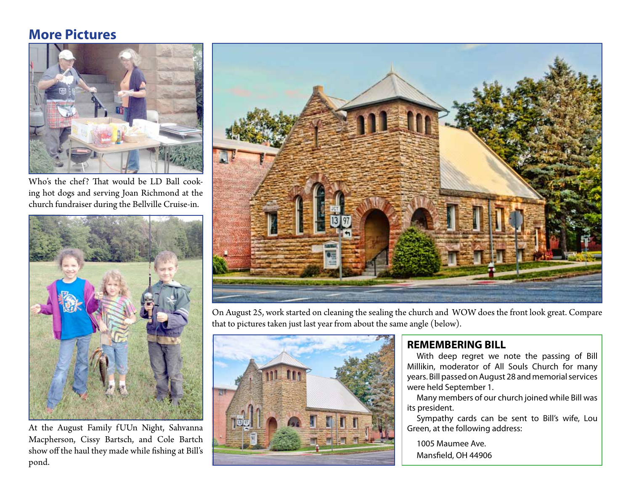#### **More Pictures**



Who's the chef? That would be LD Ball cooking hot dogs and serving Joan Richmond at the church fundraiser during the Bellville Cruise-in.



At the August Family f UUn Night, Sahvanna Macpherson, Cissy Bartsch, and Cole Bartch show off the haul they made while fishing at Bill's pond.



On August 25, work started on cleaning the sealing the church and WOW does the front look great. Compare that to pictures taken just last year from about the same angle (below).



#### **REMEMBERING BILL**

With deep regret we note the passing of Bill Millikin, moderator of All Souls Church for many years. Bill passed on August 28 and memorial services were held September 1.

Many members of our church joined while Bill was its president.

Sympathy cards can be sent to Bill's wife, Lou Green, at the following address:

1005 Maumee Ave. Mansfield, OH 44906